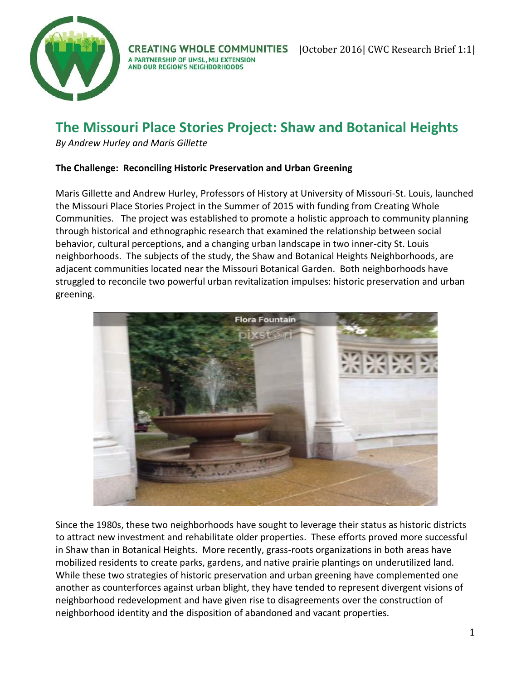

**CREATING WHOLE COMMUNITIES** A PARTNERSHIP OF UMSL, MU EXTENSION AND OUR REGION'S NEIGHBORHOODS

# **The Missouri Place Stories Project: Shaw and Botanical Heights**

*By Andrew Hurley and Maris Gillette*

# **The Challenge: Reconciling Historic Preservation and Urban Greening**

Maris Gillette and Andrew Hurley, Professors of History at University of Missouri-St. Louis, launched the Missouri Place Stories Project in the Summer of 2015 with funding from Creating Whole Communities. The project was established to promote a holistic approach to community planning through historical and ethnographic research that examined the relationship between social behavior, cultural perceptions, and a changing urban landscape in two inner-city St. Louis neighborhoods. The subjects of the study, the Shaw and Botanical Heights Neighborhoods, are adjacent communities located near the Missouri Botanical Garden. Both neighborhoods have struggled to reconcile two powerful urban revitalization impulses: historic preservation and urban greening.



Since the 1980s, these two neighborhoods have sought to leverage their status as historic districts to attract new investment and rehabilitate older properties. These efforts proved more successful in Shaw than in Botanical Heights. More recently, grass-roots organizations in both areas have mobilized residents to create parks, gardens, and native prairie plantings on underutilized land. While these two strategies of historic preservation and urban greening have complemented one another as counterforces against urban blight, they have tended to represent divergent visions of neighborhood redevelopment and have given rise to disagreements over the construction of neighborhood identity and the disposition of abandoned and vacant properties.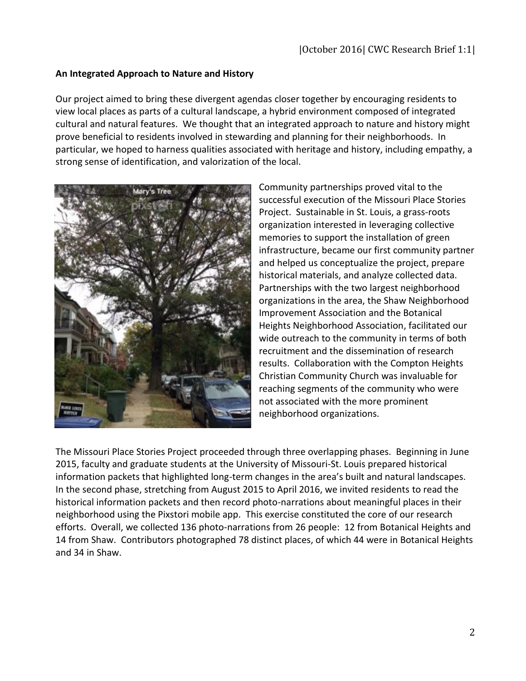# **An Integrated Approach to Nature and History**

Our project aimed to bring these divergent agendas closer together by encouraging residents to view local places as parts of a cultural landscape, a hybrid environment composed of integrated cultural and natural features. We thought that an integrated approach to nature and history might prove beneficial to residents involved in stewarding and planning for their neighborhoods. In particular, we hoped to harness qualities associated with heritage and history, including empathy, a strong sense of identification, and valorization of the local.



Community partnerships proved vital to the successful execution of the Missouri Place Stories Project. Sustainable in St. Louis, a grass-roots organization interested in leveraging collective memories to support the installation of green infrastructure, became our first community partner and helped us conceptualize the project, prepare historical materials, and analyze collected data. Partnerships with the two largest neighborhood organizations in the area, the Shaw Neighborhood Improvement Association and the Botanical Heights Neighborhood Association, facilitated our wide outreach to the community in terms of both recruitment and the dissemination of research results. Collaboration with the Compton Heights Christian Community Church was invaluable for reaching segments of the community who were not associated with the more prominent neighborhood organizations.

The Missouri Place Stories Project proceeded through three overlapping phases. Beginning in June 2015, faculty and graduate students at the University of Missouri-St. Louis prepared historical information packets that highlighted long-term changes in the area's built and natural landscapes. In the second phase, stretching from August 2015 to April 2016, we invited residents to read the historical information packets and then record photo-narrations about meaningful places in their neighborhood using the Pixstori mobile app. This exercise constituted the core of our research efforts. Overall, we collected 136 photo-narrations from 26 people: 12 from Botanical Heights and 14 from Shaw. Contributors photographed 78 distinct places, of which 44 were in Botanical Heights and 34 in Shaw.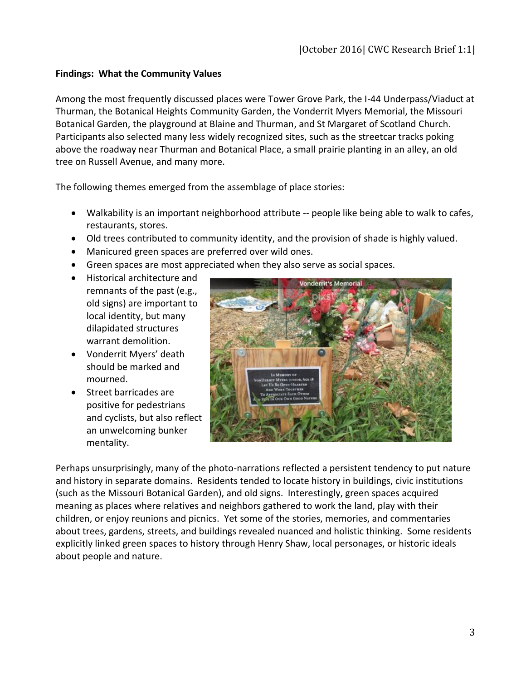# **Findings: What the Community Values**

Among the most frequently discussed places were Tower Grove Park, the I-44 Underpass/Viaduct at Thurman, the Botanical Heights Community Garden, the Vonderrit Myers Memorial, the Missouri Botanical Garden, the playground at Blaine and Thurman, and St Margaret of Scotland Church. Participants also selected many less widely recognized sites, such as the streetcar tracks poking above the roadway near Thurman and Botanical Place, a small prairie planting in an alley, an old tree on Russell Avenue, and many more.

The following themes emerged from the assemblage of place stories:

- Walkability is an important neighborhood attribute -- people like being able to walk to cafes, restaurants, stores.
- Old trees contributed to community identity, and the provision of shade is highly valued.
- Manicured green spaces are preferred over wild ones.
- Green spaces are most appreciated when they also serve as social spaces.
- Historical architecture and remnants of the past (e.g., old signs) are important to local identity, but many dilapidated structures warrant demolition.
- Vonderrit Myers' death should be marked and mourned.
- Street barricades are positive for pedestrians and cyclists, but also reflect an unwelcoming bunker mentality.



Perhaps unsurprisingly, many of the photo-narrations reflected a persistent tendency to put nature and history in separate domains. Residents tended to locate history in buildings, civic institutions (such as the Missouri Botanical Garden), and old signs. Interestingly, green spaces acquired meaning as places where relatives and neighbors gathered to work the land, play with their children, or enjoy reunions and picnics. Yet some of the stories, memories, and commentaries about trees, gardens, streets, and buildings revealed nuanced and holistic thinking. Some residents explicitly linked green spaces to history through Henry Shaw, local personages, or historic ideals about people and nature.